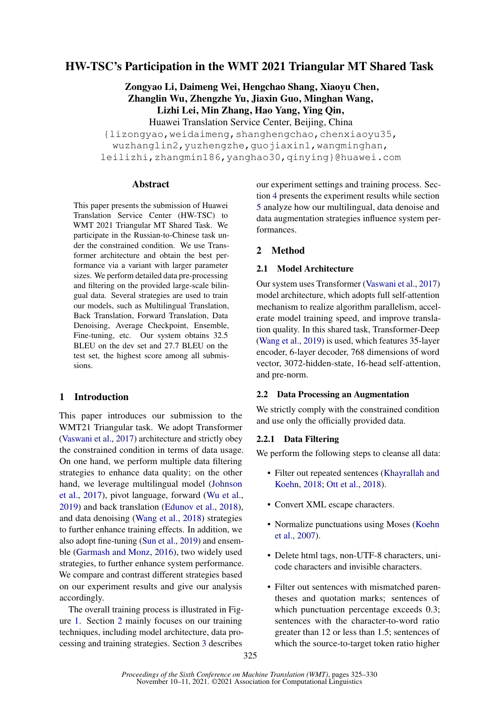# HW-TSC's Participation in the WMT 2021 Triangular MT Shared Task

Zongyao Li, Daimeng Wei, Hengchao Shang, Xiaoyu Chen, Zhanglin Wu, Zhengzhe Yu, Jiaxin Guo, Minghan Wang, Lizhi Lei, Min Zhang, Hao Yang, Ying Qin, Huawei Translation Service Center, Beijing, China {lizongyao,weidaimeng,shanghengchao,chenxiaoyu35, wuzhanglin2,yuzhengzhe,guojiaxin1,wangminghan,

leilizhi,zhangmin186,yanghao30,qinying}@huawei.com

## Abstract

This paper presents the submission of Huawei Translation Service Center (HW-TSC) to WMT 2021 Triangular MT Shared Task. We participate in the Russian-to-Chinese task under the constrained condition. We use Transformer architecture and obtain the best performance via a variant with larger parameter sizes. We perform detailed data pre-processing and filtering on the provided large-scale bilingual data. Several strategies are used to train our models, such as Multilingual Translation, Back Translation, Forward Translation, Data Denoising, Average Checkpoint, Ensemble, Fine-tuning, etc. Our system obtains 32.5 BLEU on the dev set and 27.7 BLEU on the test set, the highest score among all submissions.

## 1 Introduction

This paper introduces our submission to the WMT21 Triangular task. We adopt Transformer [\(Vaswani et al.,](#page-5-0) [2017\)](#page-5-0) architecture and strictly obey the constrained condition in terms of data usage. On one hand, we perform multiple data filtering strategies to enhance data quality; on the other hand, we leverage multilingual model [\(Johnson](#page-4-0) [et al.,](#page-4-0) [2017\)](#page-4-0), pivot language, forward [\(Wu et al.,](#page-5-1) [2019\)](#page-5-1) and back translation [\(Edunov et al.,](#page-4-1) [2018\)](#page-4-1), and data denoising [\(Wang et al.,](#page-5-2) [2018\)](#page-5-2) strategies to further enhance training effects. In addition, we also adopt fine-tuning [\(Sun et al.,](#page-5-3) [2019\)](#page-5-3) and ensemble [\(Garmash and Monz,](#page-4-2) [2016\)](#page-4-2), two widely used strategies, to further enhance system performance. We compare and contrast different strategies based on our experiment results and give our analysis accordingly.

The overall training process is illustrated in Figure [1.](#page-1-0) Section [2](#page-0-0) mainly focuses on our training techniques, including model architecture, data processing and training strategies. Section [3](#page-2-0) describes

our experiment settings and training process. Section [4](#page-3-0) presents the experiment results while section [5](#page-3-1) analyze how our multilingual, data denoise and data augmentation strategies influence system performances.

## <span id="page-0-0"></span>2 Method

### 2.1 Model Architecture

Our system uses Transformer [\(Vaswani et al.,](#page-5-0) [2017\)](#page-5-0) model architecture, which adopts full self-attention mechanism to realize algorithm parallelism, accelerate model training speed, and improve translation quality. In this shared task, Transformer-Deep [\(Wang et al.,](#page-5-4) [2019\)](#page-5-4) is used, which features 35-layer encoder, 6-layer decoder, 768 dimensions of word vector, 3072-hidden-state, 16-head self-attention, and pre-norm.

## 2.2 Data Processing an Augmentation

We strictly comply with the constrained condition and use only the officially provided data.

## <span id="page-0-1"></span>2.2.1 Data Filtering

We perform the following steps to cleanse all data:

- Filter out repeated sentences [\(Khayrallah and](#page-5-5) [Koehn,](#page-5-5) [2018;](#page-5-5) [Ott et al.,](#page-5-6) [2018\)](#page-5-6).
- Convert XML escape characters.
- Normalize punctuations using Moses [\(Koehn](#page-5-7) [et al.,](#page-5-7) [2007\)](#page-5-7).
- Delete html tags, non-UTF-8 characters, unicode characters and invisible characters.
- Filter out sentences with mismatched parentheses and quotation marks; sentences of which punctuation percentage exceeds  $0.3$ ; sentences with the character-to-word ratio greater than 12 or less than 1.5; sentences of which the source-to-target token ratio higher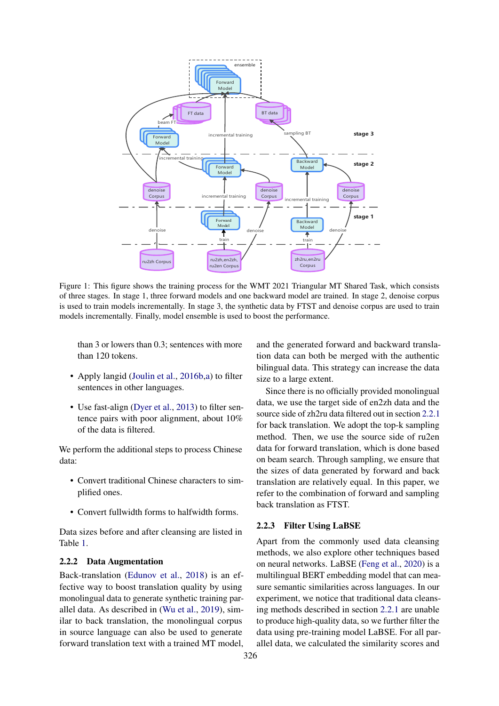<span id="page-1-0"></span>

Figure 1: This figure shows the training process for the WMT 2021 Triangular MT Shared Task, which consists of three stages. In stage 1, three forward models and one backward model are trained. In stage 2, denoise corpus is used to train models incrementally. In stage 3, the synthetic data by FTST and denoise corpus are used to train models incrementally. Finally, model ensemble is used to boost the performance.

than 3 or lowers than 0.3; sentences with more than 120 tokens.

- Apply langid [\(Joulin et al.,](#page-5-8) [2016b](#page-5-8), a) to filter sentences in other languages.
- Use fast-align [\(Dyer et al.,](#page-4-4) [2013\)](#page-4-4) to filter sentence pairs with poor alignment, about 10% of the data is filtered.

We perform the additional steps to process Chinese data:

- Convert traditional Chinese characters to simplified ones.
- Convert fullwidth forms to halfwidth forms.

Data sizes before and after cleansing are listed in Table [1.](#page-2-1)

#### <span id="page-1-2"></span>2.2.2 Data Augmentation

Back-translation [\(Edunov et al.,](#page-4-1) [2018\)](#page-4-1) is an effective way to boost translation quality by using monolingual data to generate synthetic training parallel data. As described in [\(Wu et al.,](#page-5-1) [2019\)](#page-5-1), similar to back translation, the monolingual corpus in source language can also be used to generate forward translation text with a trained MT model,

and the generated forward and backward translation data can both be merged with the authentic bilingual data. This strategy can increase the data size to a large extent.

Since there is no officially provided monolingual data, we use the target side of en2zh data and the source side of zh2ru data filtered out in section [2.2.1](#page-0-1) for back translation. We adopt the top-k sampling method. Then, we use the source side of ru2en data for forward translation, which is done based on beam search. Through sampling, we ensure that the sizes of data generated by forward and back translation are relatively equal. In this paper, we refer to the combination of forward and sampling back translation as FTST.

#### <span id="page-1-1"></span>2.2.3 Filter Using LaBSE

Apart from the commonly used data cleansing methods, we also explore other techniques based on neural networks. LaBSE [\(Feng et al.,](#page-4-5) [2020\)](#page-4-5) is a multilingual BERT embedding model that can measure semantic similarities across languages. In our experiment, we notice that traditional data cleansing methods described in section [2.2.1](#page-0-1) are unable to produce high-quality data, so we further filter the data using pre-training model LaBSE. For all parallel data, we calculated the similarity scores and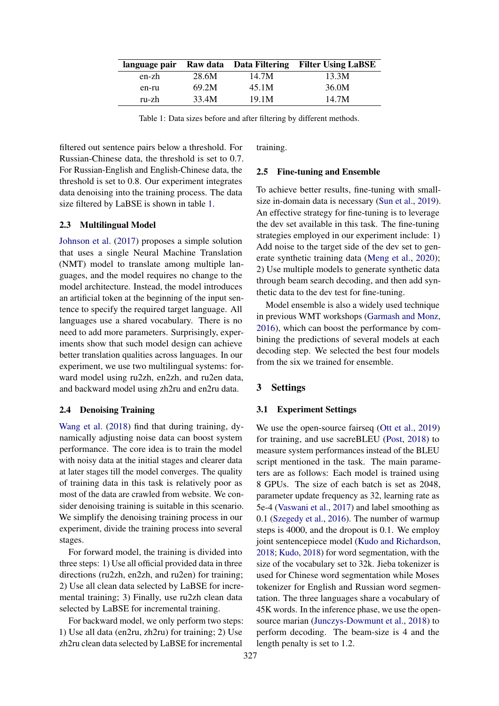<span id="page-2-1"></span>

| language pair |       |       | Raw data Data Filtering Filter Using LaBSE |
|---------------|-------|-------|--------------------------------------------|
| en-zh         | 28.6M | 14.7M | 13.3M                                      |
| en-ru         | 69.2M | 45.1M | 36.0M                                      |
| ru-zh         | 33.4M | 19.1M | 14.7M                                      |

Table 1: Data sizes before and after filtering by different methods.

filtered out sentence pairs below a threshold. For Russian-Chinese data, the threshold is set to 0.7. For Russian-English and English-Chinese data, the threshold is set to 0.8. Our experiment integrates data denoising into the training process. The data size filtered by LaBSE is shown in table [1.](#page-2-1)

#### 2.3 Multilingual Model

[Johnson et al.](#page-4-0) [\(2017\)](#page-4-0) proposes a simple solution that uses a single Neural Machine Translation (NMT) model to translate among multiple languages, and the model requires no change to the model architecture. Instead, the model introduces an artificial token at the beginning of the input sentence to specify the required target language. All languages use a shared vocabulary. There is no need to add more parameters. Surprisingly, experiments show that such model design can achieve better translation qualities across languages. In our experiment, we use two multilingual systems: forward model using ru2zh, en2zh, and ru2en data, and backward model using zh2ru and en2ru data.

#### 2.4 Denoising Training

[Wang et al.](#page-5-2) [\(2018\)](#page-5-2) find that during training, dynamically adjusting noise data can boost system performance. The core idea is to train the model with noisy data at the initial stages and clearer data at later stages till the model converges. The quality of training data in this task is relatively poor as most of the data are crawled from website. We consider denoising training is suitable in this scenario. We simplify the denoising training process in our experiment, divide the training process into several stages.

For forward model, the training is divided into three steps: 1) Use all official provided data in three directions (ru2zh, en2zh, and ru2en) for training; 2) Use all clean data selected by LaBSE for incremental training; 3) Finally, use ru2zh clean data selected by LaBSE for incremental training.

For backward model, we only perform two steps: 1) Use all data (en2ru, zh2ru) for training; 2) Use zh2ru clean data selected by LaBSE for incremental

training.

#### 2.5 Fine-tuning and Ensemble

To achieve better results, fine-tuning with smallsize in-domain data is necessary [\(Sun et al.,](#page-5-3) [2019\)](#page-5-3). An effective strategy for fine-tuning is to leverage the dev set available in this task. The fine-tuning strategies employed in our experiment include: 1) Add noise to the target side of the dev set to generate synthetic training data [\(Meng et al.,](#page-5-9) [2020\)](#page-5-9); 2) Use multiple models to generate synthetic data through beam search decoding, and then add synthetic data to the dev test for fine-tuning.

Model ensemble is also a widely used technique in previous WMT workshops [\(Garmash and Monz,](#page-4-2) [2016\)](#page-4-2), which can boost the performance by combining the predictions of several models at each decoding step. We selected the best four models from the six we trained for ensemble.

#### <span id="page-2-0"></span>3 Settings

### 3.1 Experiment Settings

We use the open-source fairseq [\(Ott et al.,](#page-5-10) [2019\)](#page-5-10) for training, and use sacreBLEU [\(Post,](#page-5-11) [2018\)](#page-5-11) to measure system performances instead of the BLEU script mentioned in the task. The main parameters are as follows: Each model is trained using 8 GPUs. The size of each batch is set as 2048, parameter update frequency as 32, learning rate as 5e-4 [\(Vaswani et al.,](#page-5-0) [2017\)](#page-5-0) and label smoothing as 0.1 [\(Szegedy et al.,](#page-5-12) [2016\)](#page-5-12). The number of warmup steps is 4000, and the dropout is 0.1. We employ joint sentencepiece model [\(Kudo and Richardson,](#page-5-13) [2018;](#page-5-13) [Kudo,](#page-5-14) [2018\)](#page-5-14) for word segmentation, with the size of the vocabulary set to 32k. Jieba tokenizer is used for Chinese word segmentation while Moses tokenizer for English and Russian word segmentation. The three languages share a vocabulary of 45K words. In the inference phase, we use the opensource marian [\(Junczys-Dowmunt et al.,](#page-5-15) [2018\)](#page-5-15) to perform decoding. The beam-size is 4 and the length penalty is set to 1.2.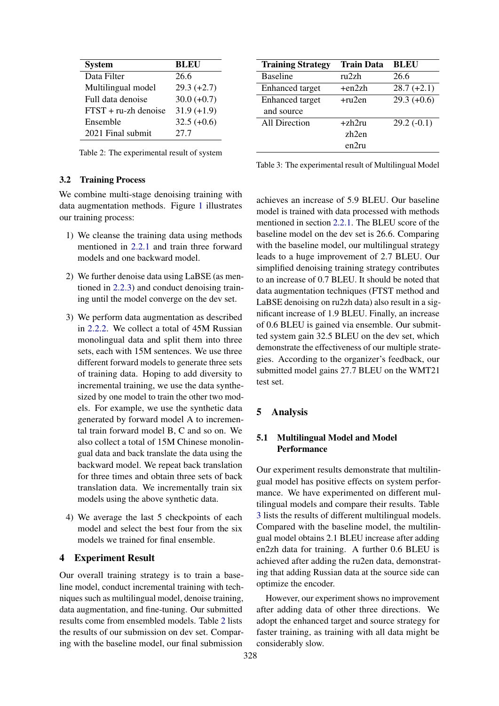<span id="page-3-2"></span>

| <b>System</b>           | <b>BLEU</b>   |
|-------------------------|---------------|
| Data Filter             | 26.6          |
| Multilingual model      | $29.3 (+2.7)$ |
| Full data denoise       | $30.0 (+0.7)$ |
| $FTST + ru$ -zh denoise | $31.9 (+1.9)$ |
| Ensemble                | $32.5 (+0.6)$ |
| 2021 Final submit       | 27.7          |

Table 2: The experimental result of system

### 3.2 Training Process

We combine multi-stage denoising training with data augmentation methods. Figure [1](#page-1-0) illustrates our training process:

- 1) We cleanse the training data using methods mentioned in [2.2.1](#page-0-1) and train three forward models and one backward model.
- 2) We further denoise data using LaBSE (as mentioned in [2.2.3\)](#page-1-1) and conduct denoising training until the model converge on the dev set.
- 3) We perform data augmentation as described in [2.2.2.](#page-1-2) We collect a total of 45M Russian monolingual data and split them into three sets, each with 15M sentences. We use three different forward models to generate three sets of training data. Hoping to add diversity to incremental training, we use the data synthesized by one model to train the other two models. For example, we use the synthetic data generated by forward model A to incremental train forward model B, C and so on. We also collect a total of 15M Chinese monolingual data and back translate the data using the backward model. We repeat back translation for three times and obtain three sets of back translation data. We incrementally train six models using the above synthetic data.
- 4) We average the last 5 checkpoints of each model and select the best four from the six models we trained for final ensemble.

### <span id="page-3-0"></span>4 Experiment Result

Our overall training strategy is to train a baseline model, conduct incremental training with techniques such as multilingual model, denoise training, data augmentation, and fine-tuning. Our submitted results come from ensembled models. Table [2](#page-3-2) lists the results of our submission on dev set. Comparing with the baseline model, our final submission

<span id="page-3-3"></span>

| <b>Training Strategy</b> | <b>Train Data</b> | <b>BLEU</b>   |
|--------------------------|-------------------|---------------|
| <b>Baseline</b>          | ru2zh             | 26.6          |
| <b>Enhanced</b> target   | $+en2zh$          | $28.7 (+2.1)$ |
| <b>Enhanced</b> target   | $+ru2en$          | $29.3 (+0.6)$ |
| and source               |                   |               |
| <b>All Direction</b>     | $+zh2ru$          | $29.2(-0.1)$  |
|                          | zh2en             |               |
|                          | en2ru             |               |

Table 3: The experimental result of Multilingual Model

achieves an increase of 5.9 BLEU. Our baseline model is trained with data processed with methods mentioned in section [2.2.1.](#page-0-1) The BLEU score of the baseline model on the dev set is 26.6. Comparing with the baseline model, our multilingual strategy leads to a huge improvement of 2.7 BLEU. Our simplified denoising training strategy contributes to an increase of 0.7 BLEU. It should be noted that data augmentation techniques (FTST method and LaBSE denoising on ru2zh data) also result in a significant increase of 1.9 BLEU. Finally, an increase of 0.6 BLEU is gained via ensemble. Our submitted system gain 32.5 BLEU on the dev set, which demonstrate the effectiveness of our multiple strategies. According to the organizer's feedback, our submitted model gains 27.7 BLEU on the WMT21 test set.

### <span id="page-3-1"></span>5 Analysis

## 5.1 Multilingual Model and Model Performance

Our experiment results demonstrate that multilingual model has positive effects on system performance. We have experimented on different multilingual models and compare their results. Table [3](#page-3-3) lists the results of different multilingual models. Compared with the baseline model, the multilingual model obtains 2.1 BLEU increase after adding en2zh data for training. A further 0.6 BLEU is achieved after adding the ru2en data, demonstrating that adding Russian data at the source side can optimize the encoder.

However, our experiment shows no improvement after adding data of other three directions. We adopt the enhanced target and source strategy for faster training, as training with all data might be considerably slow.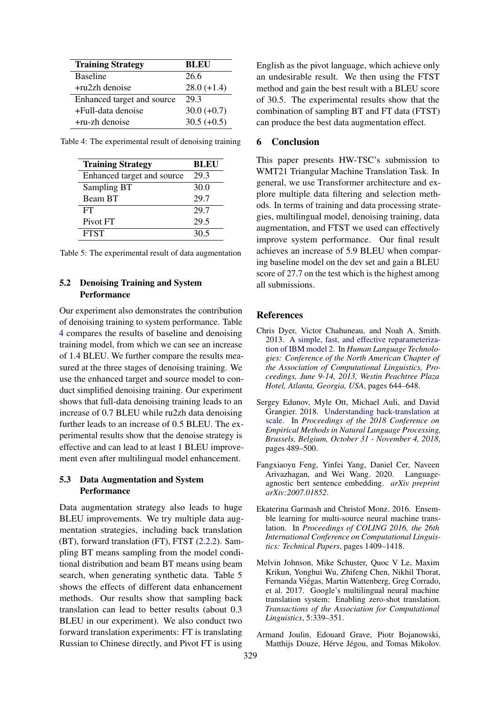<span id="page-4-6"></span>

| <b>Training Strategy</b>   | <b>BLEU</b>   |
|----------------------------|---------------|
| <b>Baseline</b>            | 26.6          |
| $+ru2zh$ denoise           | $28.0 (+1.4)$ |
| Enhanced target and source | 29.3          |
| +Full-data denoise         | $30.0 (+0.7)$ |
| $+ru$ -zh denoise          | $30.5 (+0.5)$ |

<span id="page-4-7"></span>

| Table 4: The experimental result of denoising training |  |  |
|--------------------------------------------------------|--|--|
|                                                        |  |  |

| <b>Training Strategy</b>   | <b>BLEU</b> |
|----------------------------|-------------|
| Enhanced target and source | 29.3        |
| Sampling BT                | 30.0        |
| Beam BT                    | 29.7        |
| FT                         | 29.7        |
| Pivot FT                   | 29.5        |
| <b>FTST</b>                | 30.5        |

|  |  |  |  |  | Table 5: The experimental result of data augmentation |  |
|--|--|--|--|--|-------------------------------------------------------|--|
|  |  |  |  |  |                                                       |  |

## 5.2 Denoising Training and System **Performance**

Our experiment also demonstrates the contribution of denoising training to system performance. Table [4](#page-4-6) compares the results of baseline and denoising training model, from which we can see an increase of 1.4 BLEU. We further compare the results measured at the three stages of denoising training. We use the enhanced target and source model to conduct simplified denoising training. Our experiment shows that full-data denoising training leads to an increase of 0.7 BLEU while ru2zh data denoising further leads to an increase of 0.5 BLEU. The experimental results show that the denoise strategy is effective and can lead to at least 1 BLEU improvement even after multilingual model enhancement.

### 5.3 Data Augmentation and System **Performance**

Data augmentation strategy also leads to huge BLEU improvements. We try multiple data augmentation strategies, including back translation (BT), forward translation (FT), FTST [\(2.2.2\)](#page-1-2). Sampling BT means sampling from the model conditional distribution and beam BT means using beam search, when generating synthetic data. Table [5](#page-4-7) shows the effects of different data enhancement methods. Our results show that sampling back translation can lead to better results (about 0.3 BLEU in our experiment). We also conduct two forward translation experiments: FT is translating Russian to Chinese directly, and Pivot FT is using

English as the pivot language, which achieve only an undesirable result. We then using the FTST method and gain the best result with a BLEU score of 30.5. The experimental results show that the combination of sampling BT and FT data (FTST) can produce the best data augmentation effect.

## 6 Conclusion

This paper presents HW-TSC's submission to WMT21 Triangular Machine Translation Task. In general, we use Transformer architecture and explore multiple data filtering and selection methods. In terms of training and data processing strategies, multilingual model, denoising training, data augmentation, and FTST we used can effectively improve system performance. Our final result achieves an increase of 5.9 BLEU when comparing baseline model on the dev set and gain a BLEU score of 27.7 on the test which is the highest among all submissions.

## References

- <span id="page-4-4"></span>Chris Dyer, Victor Chahuneau, and Noah A. Smith. 2013. [A simple, fast, and effective reparameteriza](https://www.aclweb.org/anthology/N13-1073/)[tion of IBM model 2.](https://www.aclweb.org/anthology/N13-1073/) In *Human Language Technologies: Conference of the North American Chapter of the Association of Computational Linguistics, Proceedings, June 9-14, 2013, Westin Peachtree Plaza Hotel, Atlanta, Georgia, USA*, pages 644–648.
- <span id="page-4-1"></span>Sergey Edunov, Myle Ott, Michael Auli, and David Grangier. 2018. [Understanding back-translation at](https://doi.org/10.18653/v1/d18-1045) [scale.](https://doi.org/10.18653/v1/d18-1045) In *Proceedings of the 2018 Conference on Empirical Methods in Natural Language Processing, Brussels, Belgium, October 31 - November 4, 2018*, pages 489–500.
- <span id="page-4-5"></span>Fangxiaoyu Feng, Yinfei Yang, Daniel Cer, Naveen Arivazhagan, and Wei Wang. 2020. Languageagnostic bert sentence embedding. *arXiv preprint arXiv:2007.01852*.
- <span id="page-4-2"></span>Ekaterina Garmash and Christof Monz. 2016. Ensemble learning for multi-source neural machine translation. In *Proceedings of COLING 2016, the 26th International Conference on Computational Linguistics: Technical Papers*, pages 1409–1418.
- <span id="page-4-0"></span>Melvin Johnson, Mike Schuster, Quoc V Le, Maxim Krikun, Yonghui Wu, Zhifeng Chen, Nikhil Thorat, Fernanda Viégas, Martin Wattenberg, Greg Corrado, et al. 2017. Google's multilingual neural machine translation system: Enabling zero-shot translation. *Transactions of the Association for Computational Linguistics*, 5:339–351.
- <span id="page-4-3"></span>Armand Joulin, Edouard Grave, Piotr Bojanowski, Matthijs Douze, Hérve Jégou, and Tomas Mikolov.